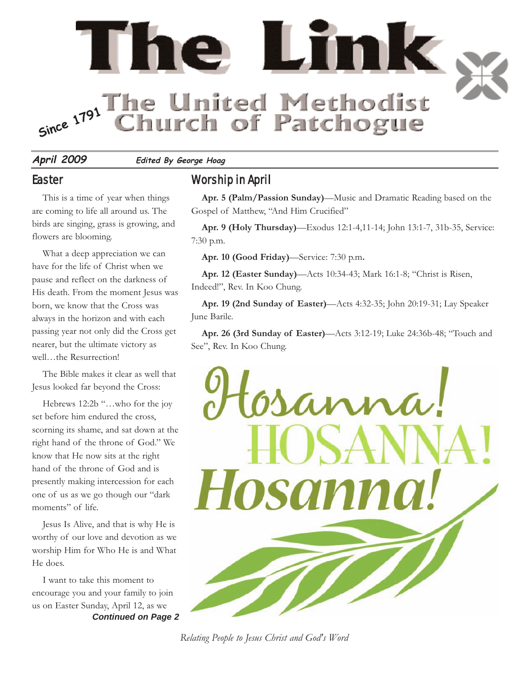

**April 2009 Edited By George Hoag**

#### **Easter**

This is a time of year when things are coming to life all around us. The birds are singing, grass is growing, and flowers are blooming.

What a deep appreciation we can have for the life of Christ when we pause and reflect on the darkness of His death. From the moment Jesus was born, we know that the Cross was always in the horizon and with each passing year not only did the Cross get nearer, but the ultimate victory as well…the Resurrection!

The Bible makes it clear as well that Jesus looked far beyond the Cross:

Hebrews 12:2b "…who for the joy set before him endured the cross, scorning its shame, and sat down at the right hand of the throne of God." We know that He now sits at the right hand of the throne of God and is presently making intercession for each one of us as we go though our "dark moments" of life.

Jesus Is Alive, and that is why He is worthy of our love and devotion as we worship Him for Who He is and What He does.

*Continued on Page 2* I want to take this moment to encourage you and your family to join us on Easter Sunday, April 12, as we

#### Worship in April

**Apr. 5 (Palm/Passion Sunday)**—Music and Dramatic Reading based on the Gospel of Matthew, "And Him Crucified"

**Apr. 9 (Holy Thursday)**—Exodus 12:1-4,11-14; John 13:1-7, 31b-35, Service: 7:30 p.m.

**Apr. 10 (Good Friday)**—Service: 7:30 p.m**.** 

**Apr. 12 (Easter Sunday)**—Acts 10:34-43; Mark 16:1-8; "Christ is Risen, Indeed!", Rev. In Koo Chung.

**Apr. 19 (2nd Sunday of Easter)**—Acts 4:32-35; John 20:19-31; Lay Speaker June Barile.

**Apr. 26 (3rd Sunday of Easter)**—Acts 3:12-19; Luke 24:36b-48; "Touch and See", Rev. In Koo Chung.



*Relating People to Jesus Christ and God's Word*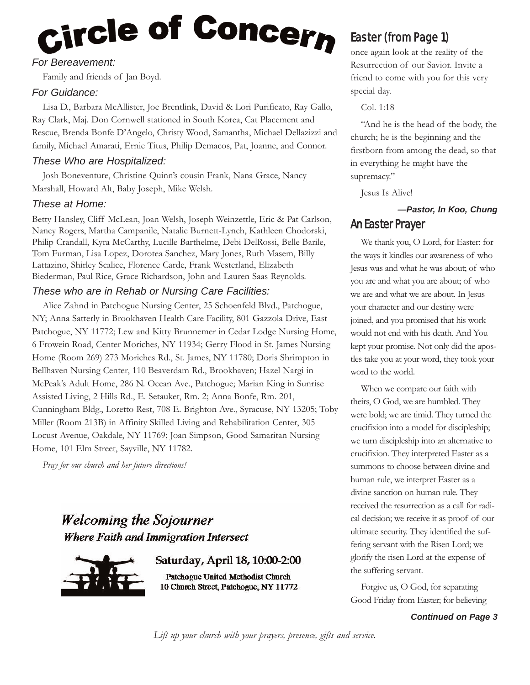# Circle of Concern

#### *For Bereavement:*

Family and friends of Jan Boyd.

#### *For Guidance:*

Lisa D., Barbara McAllister, Joe Brentlink, David & Lori Purificato, Ray Gallo, Ray Clark, Maj. Don Cornwell stationed in South Korea, Cat Placement and Rescue, Brenda Bonfe D'Angelo, Christy Wood, Samantha, Michael Dellazizzi and family, Michael Amarati, Ernie Titus, Philip Demacos, Pat, Joanne, and Connor.

#### *These Who are Hospitalized:*

Josh Boneventure, Christine Quinn's cousin Frank, Nana Grace, Nancy Marshall, Howard Alt, Baby Joseph, Mike Welsh.

#### *These at Home:*

Betty Hansley, Cliff McLean, Joan Welsh, Joseph Weinzettle, Eric & Pat Carlson, Nancy Rogers, Martha Campanile, Natalie Burnett-Lynch, Kathleen Chodorski, Philip Crandall, Kyra McCarthy, Lucille Barthelme, Debi DelRossi, Belle Barile, Tom Furman, Lisa Lopez, Dorotea Sanchez, Mary Jones, Ruth Masem, Billy Lattazino, Shirley Scalice, Florence Carde, Frank Westerland, Elizabeth Biederman, Paul Rice, Grace Richardson, John and Lauren Saas Reynolds.

#### *These who are in Rehab or Nursing Care Facilities:*

Alice Zahnd in Patchogue Nursing Center, 25 Schoenfeld Blvd., Patchogue, NY; Anna Satterly in Brookhaven Health Care Facility, 801 Gazzola Drive, East Patchogue, NY 11772; Lew and Kitty Brunnemer in Cedar Lodge Nursing Home, 6 Frowein Road, Center Moriches, NY 11934; Gerry Flood in St. James Nursing Home (Room 269) 273 Moriches Rd., St. James, NY 11780; Doris Shrimpton in Bellhaven Nursing Center, 110 Beaverdam Rd., Brookhaven; Hazel Nargi in McPeak's Adult Home, 286 N. Ocean Ave., Patchogue; Marian King in Sunrise Assisted Living, 2 Hills Rd., E. Setauket, Rm. 2; Anna Bonfe, Rm. 201, Cunningham Bldg., Loretto Rest, 708 E. Brighton Ave., Syracuse, NY 13205; Toby Miller (Room 213B) in Affinity Skilled Living and Rehabilitation Center, 305 Locust Avenue, Oakdale, NY 11769; Joan Simpson, Good Samaritan Nursing Home, 101 Elm Street, Sayville, NY 11782.

*Pray for our church and her future directions!*

## **Welcoming the Sojourner Where Faith and Immigration Intersect**

Saturday, April 18, 10:00-2:00

Patchogue United Methodist Church 10 Church Street, Patchogue, NY 11772

### Easter (from Page 1)

once again look at the reality of the Resurrection of our Savior. Invite a friend to come with you for this very special day.

#### Col. 1:18

"And he is the head of the body, the church; he is the beginning and the firstborn from among the dead, so that in everything he might have the supremacy."

Jesus Is Alive!

#### *—Pastor, In Koo, Chung* An Easter Prayer

We thank you, O Lord, for Easter: for the ways it kindles our awareness of who Jesus was and what he was about; of who you are and what you are about; of who we are and what we are about. In Jesus your character and our destiny were joined, and you promised that his work would not end with his death. And You kept your promise. Not only did the apostles take you at your word, they took your word to the world.

When we compare our faith with theirs, O God, we are humbled. They were bold; we are timid. They turned the crucifixion into a model for discipleship; we turn discipleship into an alternative to crucifixion. They interpreted Easter as a summons to choose between divine and human rule, we interpret Easter as a divine sanction on human rule. They received the resurrection as a call for radical decision; we receive it as proof of our ultimate security. They identified the suffering servant with the Risen Lord; we glorify the risen Lord at the expense of the suffering servant.

Forgive us, O God, for separating Good Friday from Easter; for believing

*Continued on Page 3*

*Lift up your church with your prayers, presence, gifts and service.*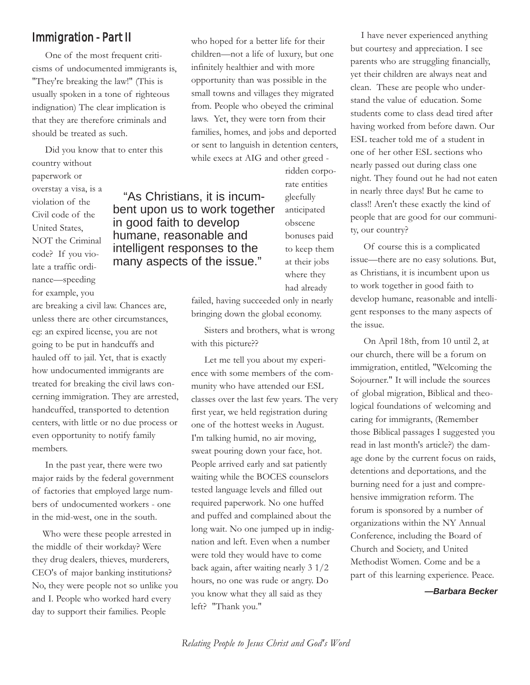#### Immigration - Part II

One of the most frequent criticisms of undocumented immigrants is, "They're breaking the law!" (This is usually spoken in a tone of righteous indignation) The clear implication is that they are therefore criminals and should be treated as such.

Did you know that to enter this country without paperwork or overstay a visa, is a violation of the Civil code of the United States, NOT the Criminal code? If you violate a traffic ordinance—speeding for example, you "As Christians, it is incumbent upon us to work together in good faith to develop humane, reasonable and intelligent responses to the many aspects of the issue."

are breaking a civil law. Chances are, unless there are other circumstances, eg: an expired license, you are not going to be put in handcuffs and hauled off to jail. Yet, that is exactly how undocumented immigrants are treated for breaking the civil laws concerning immigration. They are arrested, handcuffed, transported to detention centers, with little or no due process or even opportunity to notify family members.

In the past year, there were two major raids by the federal government of factories that employed large numbers of undocumented workers - one in the mid-west, one in the south.

Who were these people arrested in the middle of their workday? Were they drug dealers, thieves, murderers, CEO's of major banking institutions? No, they were people not so unlike you and I. People who worked hard every day to support their families. People

who hoped for a better life for their children—not a life of luxury, but one infinitely healthier and with more opportunity than was possible in the small towns and villages they migrated from. People who obeyed the criminal laws. Yet, they were torn from their families, homes, and jobs and deported or sent to languish in detention centers, while execs at AIG and other greed -

> ridden corporate entities gleefully anticipated obscene bonuses paid to keep them at their jobs where they had already

failed, having succeeded only in nearly bringing down the global economy.

Sisters and brothers, what is wrong with this picture??

Let me tell you about my experience with some members of the community who have attended our ESL classes over the last few years. The very first year, we held registration during one of the hottest weeks in August. I'm talking humid, no air moving, sweat pouring down your face, hot. People arrived early and sat patiently waiting while the BOCES counselors tested language levels and filled out required paperwork. No one huffed and puffed and complained about the long wait. No one jumped up in indignation and left. Even when a number were told they would have to come back again, after waiting nearly 3 1/2 hours, no one was rude or angry. Do you know what they all said as they left? "Thank you."

I have never experienced anything but courtesy and appreciation. I see parents who are struggling financially, yet their children are always neat and clean. These are people who understand the value of education. Some students come to class dead tired after having worked from before dawn. Our ESL teacher told me of a student in one of her other ESL sections who nearly passed out during class one night. They found out he had not eaten in nearly three days! But he came to class!! Aren't these exactly the kind of people that are good for our community, our country?

Of course this is a complicated issue—there are no easy solutions. But, as Christians, it is incumbent upon us to work together in good faith to develop humane, reasonable and intelligent responses to the many aspects of the issue.

On April 18th, from 10 until 2, at our church, there will be a forum on immigration, entitled, "Welcoming the Sojourner." It will include the sources of global migration, Biblical and theological foundations of welcoming and caring for immigrants, (Remember those Biblical passages I suggested you read in last month's article?) the damage done by the current focus on raids, detentions and deportations, and the burning need for a just and comprehensive immigration reform. The forum is sponsored by a number of organizations within the NY Annual Conference, including the Board of Church and Society, and United Methodist Women. Come and be a part of this learning experience. Peace.

*—Barbara Becker*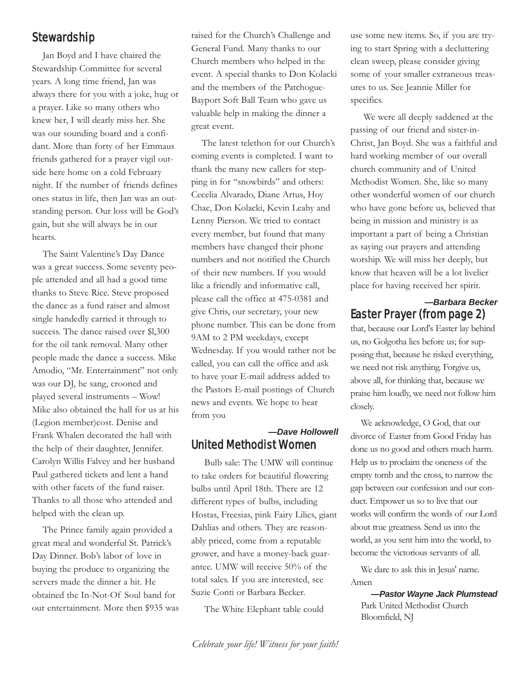#### Stewardship

Jan Boyd and I have chaired the Stewardship Committee for several years. A long time friend, Jan was always there for you with a joke, hug or a prayer. Like so many others who knew her, I will dearly miss her. She was our sounding board and a confidant. More than forty of her Emmaus friends gathered for a prayer vigil outside here home on a cold February night. If the number of friends defines ones status in life, then Jan was an outstanding person. Our loss will be God's gain, but she will always be in our hearts.

The Saint Valentine's Day Dance was a great success. Some seventy people attended and all had a good time thanks to Steve Rice. Steve proposed the dance as a fund raiser and almost single handedly carried it through to success. The dance raised over \$l,300 for the oil tank removal. Many other people made the dance a success. Mike Amodio, "Mr. Entertainment" not only was our DJ, he sang, crooned and played several instruments – Wow! Mike also obtained the hall for us at his (Legion member)cost. Denise and Frank Whalen decorated the hall with the help of their daughter, Jennifer. Carolyn Willis Falvey and her husband Paul gathered tickets and lent a hand with other facets of the fund raiser. Thanks to all those who attended and helped with the clean up.

The Prince family again provided a great meal and wonderful St. Patrick's Day Dinner. Bob's labor of love in buying the produce to organizing the servers made the dinner a hit. He obtained the In-Not-Of Soul band for our entertainment. More then \$935 was raised for the Church's Challenge and General Fund. Many thanks to our Church members who helped in the event. A special thanks to Don Kolacki and the members of the Patchogue-Bayport Soft Ball Team who gave us valuable help in making the dinner a great event.

The latest telethon for our Church's coming events is completed. I want to thank the many new callers for stepping in for "snowbirds" and others: Cecelia Alvarado, Diane Artus, Hoy Chae, Don Kolacki, Kevin Leahy and Lenny Pierson. We tried to contact every member, but found that many members have changed their phone numbers and not notified the Church of their new numbers. If you would like a friendly and informative call, please call the office at 475-0381 and give Chris, our secretary, your new phone number. This can be done from 9AM to 2 PM weekdays, except Wednesday. If you would rather not be called, you can call the office and ask to have your E-mail address added to the Pastors E-mail postings of Church news and events. We hope to hear from you

#### *—Dave Hollowell* United Methodist Women

Bulb sale: The UMW will continue to take orders for beautiful flowering bulbs until April 18th. There are 12 different types of bulbs, including Hostas, Freesias, pink Fairy Lilies, giant Dahlias and others. They are reasonably priced, come from a reputable grower, and have a money-back guarantee. UMW will receive 50% of the total sales. If you are interested, see Suzie Conti or Barbara Becker.

The White Elephant table could

use some new items. So, if you are trying to start Spring with a decluttering clean sweep, please consider giving some of your smaller extraneous treasures to us. See Jeannie Miller for specifics.

We were all deeply saddened at the passing of our friend and sister-in-Christ, Jan Boyd. She was a faithful and hard working member of our overall church community and of United Methodist Women. She, like so many other wonderful women of our church who have gone before us, believed that being in mission and ministry is as important a part of being a Christian as saying our prayers and attending worship. We will miss her deeply, but know that heaven will be a lot livelier place for having received her spirit.

#### *—Barbara Becker* Easter Prayer (from page 2)

that, because our Lord's Easter lay behind us, no Golgotha lies before us; for supposing that, because he risked everything, we need not risk anything. Forgive us, above all, for thinking that, because we praise him loudly, we need not follow him closely.

We acknowledge, O God, that our divorce of Easter from Good Friday has done us no good and others much harm. Help us to proclaim the oneness of the empty tomb and the cross, to narrow the gap between our confession and our conduct. Empower us so to live that our works will confirm the words of our Lord about true greatness. Send us into the world, as you sent him into the world, to become the victorious servants of all.

We dare to ask this in Jesus' name. Amen

#### *—Pastor Wayne Jack Plumstead*

Park United Methodist Church Bloomfield, NJ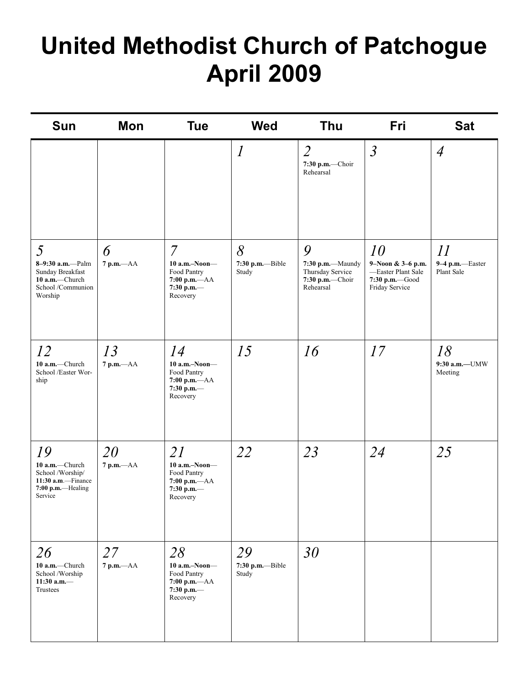# **United Methodist Church of Patchogue April 2009**

| <b>Sun</b>                                                                                     | Mon                  | <b>Tue</b>                                                                                      | <b>Wed</b>                      | Thu                                                                       | Fri                                                                               | <b>Sat</b>                          |
|------------------------------------------------------------------------------------------------|----------------------|-------------------------------------------------------------------------------------------------|---------------------------------|---------------------------------------------------------------------------|-----------------------------------------------------------------------------------|-------------------------------------|
|                                                                                                |                      |                                                                                                 | $\iota$                         | $\overline{2}$<br>$7:30$ p.m.-Choir<br>Rehearsal                          | $\mathfrak{Z}$                                                                    | $\overline{4}$                      |
| 5<br>8-9:30 a.m.-Palm<br>Sunday Breakfast<br>10 a.m.-Church<br>School /Communion<br>Worship    | 6<br>$7$ p.m. $-AA$  | $\overline{7}$<br>$10$ a.m.-Noon-<br>Food Pantry<br>$7:00$ p.m. $-AA$<br>7:30 p.m.—<br>Recovery | 8<br>7:30 p.m.--Bible<br>Study  | 9<br>7:30 p.m.-Maundy<br>Thursday Service<br>7:30 p.m.-Choir<br>Rehearsal | 10<br>9-Noon & 3-6 p.m.<br>-Easter Plant Sale<br>7:30 p.m. Good<br>Friday Service | 11<br>9-4 p.m.-Easter<br>Plant Sale |
| 12<br>10 a.m.-Church<br>School /Easter Wor-<br>ship                                            | 13<br>$7$ p.m. $-AA$ | 14<br>$10$ a.m.-Noon-<br>Food Pantry<br>$7:00$ p.m. $-AA$<br>7:30 p.m.—<br>Recovery             | 15                              | 16                                                                        | 17                                                                                | 18<br>9:30 a.m.-UMW<br>Meeting      |
| 19<br>10 a.m.-Church<br>School /Worship/<br>11:30 a.m.-Finance<br>7:00 p.m.-Healing<br>Service | 20<br>$7$ p.m. $-AA$ | 21<br>$10$ a.m.-Noon-<br>Food Pantry<br>$7:00$ p.m.- $AA$<br>7:30 p.m.-<br>Recovery             | 22                              | 23                                                                        | 24                                                                                | 25                                  |
| 26<br>10 a.m.-Church<br>School /Worship<br>11:30 a.m. $-$<br>Trustees                          | 27<br>$7$ p.m. $-AA$ | 28<br>$10$ a.m.-Noon-<br>Food Pantry<br>$7:00$ p.m. $-AA$<br>7:30 p.m.—<br>Recovery             | 29<br>7:30 p.m.--Bible<br>Study | 30                                                                        |                                                                                   |                                     |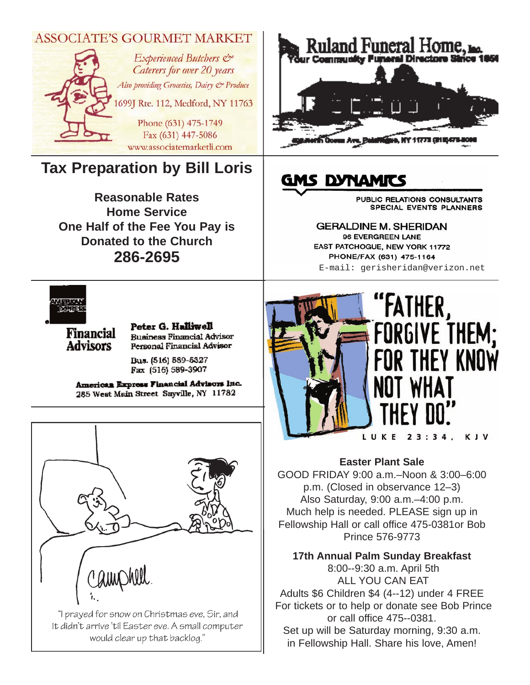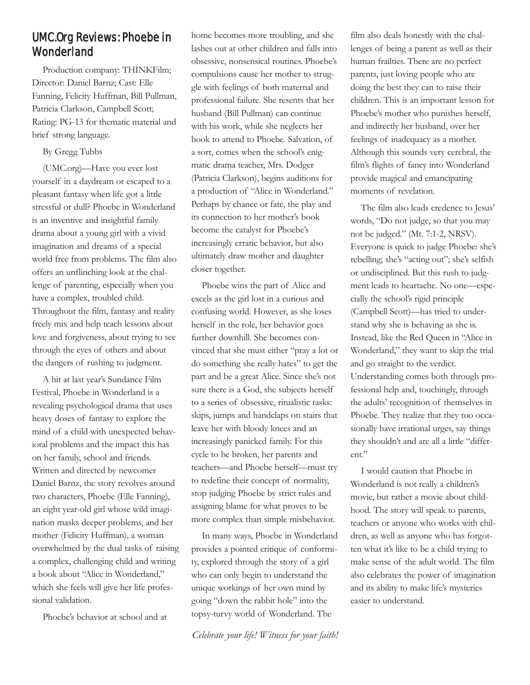#### UMC.Org Reviews: Phoebe in Wonderland

Production company: THINKFilm; Director: Daniel Barnz; Cast: Elle Fanning, Felicity Huffman, Bill Pullman, Patricia Clarkson, Campbell Scott; Rating: PG-13 for thematic material and brief strong language.

#### By Gregg Tubbs

(UMC.org)—Have you ever lost yourself in a daydream or escaped to a pleasant fantasy when life got a little stressful or dull? Phoebe in Wonderland is an inventive and insightful family drama about a young girl with a vivid imagination and dreams of a special world free from problems. The film also offers an unflinching look at the challenge of parenting, especially when you have a complex, troubled child. Throughout the film, fantasy and reality freely mix and help teach lessons about love and forgiveness, about trying to see through the eyes of others and about the dangers of rushing to judgment.

A hit at last year's Sundance Film Festival, Phoebe in Wonderland is a revealing psychological drama that uses heavy doses of fantasy to explore the mind of a child with unexpected behavioral problems and the impact this has on her family, school and friends. Written and directed by newcomer Daniel Barnz, the story revolves around two characters, Phoebe (Elle Fanning), an eight year-old girl whose wild imagination masks deeper problems, and her mother (Felicity Huffman), a woman overwhelmed by the dual tasks of raising a complex, challenging child and writing a book about "Alice in Wonderland," which she feels will give her life professional validation.

Phoebe's behavior at school and at

home becomes more troubling, and she lashes out at other children and falls into obsessive, nonsensical routines. Phoebe's compulsions cause her mother to struggle with feelings of both maternal and professional failure. She resents that her husband (Bill Pullman) can continue with his work, while she neglects her book to attend to Phoebe. Salvation, of a sort, comes when the school's enigmatic drama teacher, Mrs. Dodger (Patricia Clarkson), begins auditions for a production of "Alice in Wonderland." Perhaps by chance or fate, the play and its connection to her mother's book become the catalyst for Phoebe's increasingly erratic behavior, but also ultimately draw mother and daughter closer together.

Phoebe wins the part of Alice and excels as the girl lost in a curious and confusing world. However, as she loses herself in the role, her behavior goes further downhill. She becomes convinced that she must either "pray a lot or do something she really hates" to get the part and be a great Alice. Since she's not sure there is a God, she subjects herself to a series of obsessive, ritualistic tasks: skips, jumps and handclaps on stairs that leave her with bloody knees and an increasingly panicked family. For this cycle to be broken, her parents and teachers—and Phoebe herself—must try to redefine their concept of normality, stop judging Phoebe by strict rules and assigning blame for what proves to be more complex than simple misbehavior.

In many ways, Phoebe in Wonderland provides a pointed critique of conformity, explored through the story of a girl who can only begin to understand the unique workings of her own mind by going "down the rabbit hole" into the topsy-turvy world of Wonderland. The

*Celebrate your life! Witness for your faith!*

film also deals honestly with the challenges of being a parent as well as their human frailties. There are no perfect parents, just loving people who are doing the best they can to raise their children. This is an important lesson for Phoebe's mother who punishes herself, and indirectly her husband, over her feelings of inadequacy as a mother. Although this sounds very cerebral, the film's flights of fancy into Wonderland provide magical and emancipating moments of revelation.

The film also leads credence to Jesus' words, "Do not judge, so that you may not be judged." (Mt. 7:1-2, NRSV). Everyone is quick to judge Phoebe: she's rebelling; she's "acting out"; she's selfish or undisciplined. But this rush to judgment leads to heartache. No one—especially the school's rigid principle (Campbell Scott)—has tried to understand why she is behaving as she is. Instead, like the Red Queen in "Alice in Wonderland," they want to skip the trial and go straight to the verdict. Understanding comes both through professional help and, touchingly, through the adults' recognition of themselves in Phoebe. They realize that they too occasionally have irrational urges, say things they shouldn't and are all a little "different."

I would caution that Phoebe in Wonderland is not really a children's movie, but rather a movie about childhood. The story will speak to parents, teachers or anyone who works with children, as well as anyone who has forgotten what it's like to be a child trying to make sense of the adult world. The film also celebrates the power of imagination and its ability to make life's mysteries easier to understand.